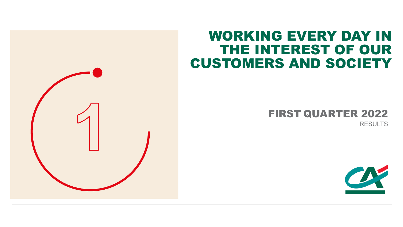

# WORKING EVERY DAY IN THE INTEREST OF OUR CUSTOMERS AND SOCIETY

# FIRST QUARTER 2022

RESULTS

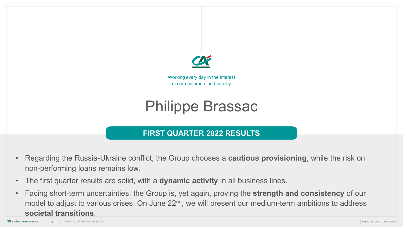

Working every day in the interest of our customers and society

# Philippe Brassac

## **FIRST QUARTER 2022 RESULTS**

- Regarding the Russia-Ukraine conflict, the Group chooses a **cautious provisioning**, while the risk on non-performing loans remains low.
- The first quarter results are solid, with a **dynamic activity** in all business lines.
- Facing short-term uncertainties, the Group is, yet again, proving the **strength and consistency** of our model to adjust to various crises. On June 22<sup>nd</sup>, we will present our medium-term ambitions to address **SOCIEtal transitions.**<br>*E*X CRÉDIT AGRICOLE SA RESULTS FIRST QUARTER 2022 RESULTS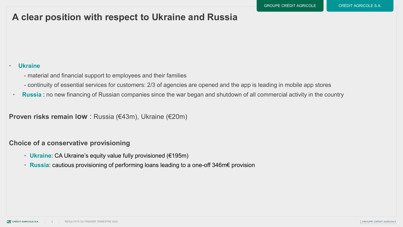## **A clear position with respect to Ukraine and Russia**

#### • **Ukraine**

- material and financial support to employees and their families
- continuity of essential services for customers: 2/3 of agencies are opened and the app is leading in mobile app stores
- **Russia** : no new financing of Russian companies since the war began and shutdown of all commercial activity in the country

**Proven risks remain low** : Russia (€43m), Ukraine (€20m)

### **Choice of a conservative provisioning**

- **Ukraine**: CA Ukraine's equity value fully provisioned (€195m)
- **Russia**: cautious provisioning of performing loans leading to a one-off 346m€ provision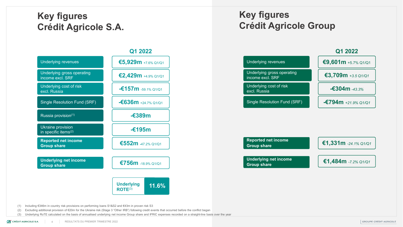## **Key figures Crédit Agricole S.A.**

## Underlying revenues **€5,929m** +7.6% Q1/Q1 Single Resolution Fund (SRF) **-€636m** +24.7% Q1/Q1 Underlying cost of risk excl. Russia **-€157m** -59.1% Q1/Q1 **Q1 2022** Underlying gross operating<br>income excl. SRF income excl. SRF **€2,429m** +4.9% Q1/Q1 Russia provision(1) **-€389m** Ukraine provision **in specific items<sup>(2)</sup>** and the specific items<sup>(2)</sup> and the specific items<sup>(2)</sup> **Reported net income Group share €1,331m** *-24.1%* Q1/Q1 **€552m** -47.2% Q1/Q1 **Underlying net income Group share find the come find the CT56m** -18.9% Q1/Q1 **Underlying 11.6% ROTE**(3)

## **Key figures Crédit Agricole Group**





(1) Including €346m in country risk provisions on performing loans S1&S2 and €43m in proven risk S3

(2) Excluding additional provision of €20m for the Ukraine risk (Stage 3 "Other IRB") following credit events that occurred before the conflict began

(3) Underlying RoTE calculated on the basis of annualised underlying net income Group share and IFRIC expenses recorded on a straight-line basis over the year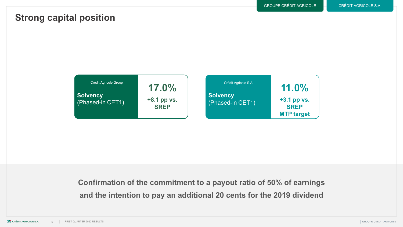## **Strong capital position**



**Confirmation of the commitment to a payout ratio of 50% of earnings and the intention to pay an additional 20 cents for the 2019 dividend**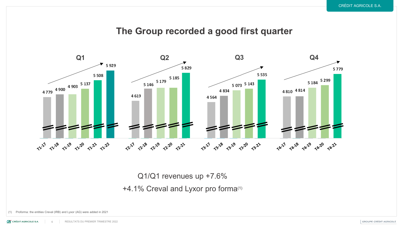## **The Group recorded a good first quarter**



Q1/Q1 revenues up +7.6%

+4.1% Creval and Lyxor pro forma(1)

(1) Proforma: the entities Creval (IRB) and Lyxor (AG) were added in 2021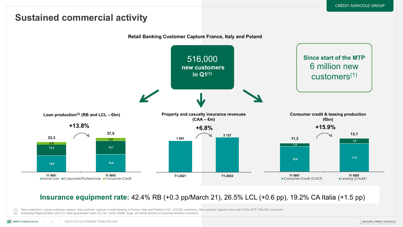## **Sustained commercial activity**



### **Insurance equipment rate:** 42.4% RB (+0.3 pp/March 21), 26.5% LCL (+0.6 pp), 19.2% CA Italia (+1.5 pp)

(1) New customers = gross customer capture. Net customer capture in retail banking in France, Italy and Poland in Q1: 123,000 customers. Net customer capture since start of the MTP: 858,000 customers

(2) Excluding Regional Bank and LCL state-guaranteed loans (3) Car, home, health, legal, all mobile phones or personal accident insurance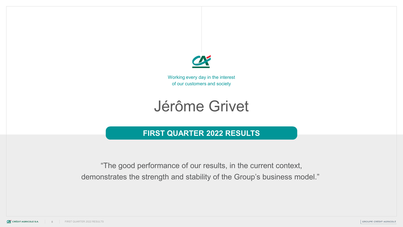

Working every day in the interest of our customers and society

# Jérôme Grivet

## **FIRST QUARTER 2022 RESULTS**

"The good performance of our results, in the current context, demonstrates the strength and stability of the Group's business model."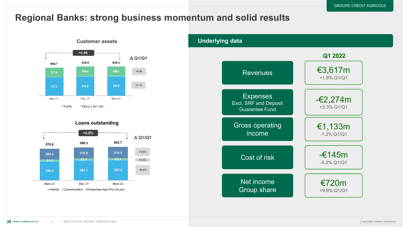## **Regional Banks: strong business momentum and solid results**



#### **Loans outstanding**



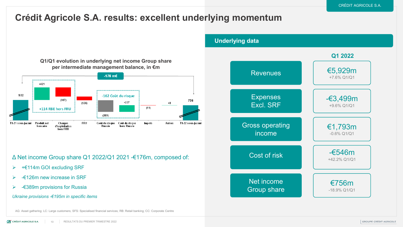## **Crédit Agricole S.A. results: excellent underlying momentum**



Δ Net income Group share Q1 2022/Q1 2021 -€176m, composed of:

- +€114m GOI excluding SRF
- $\geq$  -€126m new increase in SRF
- $\triangleright$  €389m provisions for Russia

*Ukraine provisions -€195m in specific items*

**Expenses** Excl. SRF Cost of risk **Revenues** Net income Group share -€3,499m +9.6% Q1/Q1 €5,929m +7.6% Q1/Q1 Gross operating income €1,793m -0.6% Q1/Q1 -€546m +42.2% Q1/Q1 €756m -18.9% Q1/Q1 **Underlying data Q1 2022**

AG: Asset gathering; LC: Large customers; SFS: Specialised financial services; RB: Retail banking; CC: Corporate Centre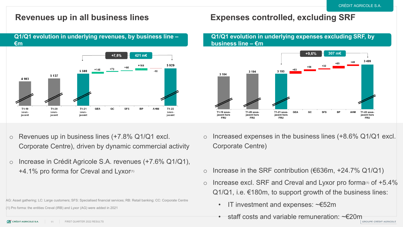**Q1/Q1 evolution in underlying revenues, by business line – €m**



- $\circ$  Revenues up in business lines (+7.8% Q1/Q1 excl. Corporate Centre), driven by dynamic commercial activity
- o Increase in Crédit Agricole S.A. revenues (+7.6% Q1/Q1),  $+4.1\%$  pro forma for Creval and Lyxor $(1)$

AG: Asset gathering; LC: Large customers; SFS: Specialised financial services; RB: Retail banking; CC: Corporate Centre

(1) Pro forma: the entities Creval (IRB) and Lyxor (AG) were added in 2021

**Revenues up in all business lines Expenses controlled, excluding SRF**

#### **Q1/Q1 evolution in underlying expenses excluding SRF, by business line – €m**



- Increased expenses in the business lines  $(+8.6\% \text{ Q1/Q1}$  excl. Corporate Centre)
- Increase in the SRF contribution ( $€636m, +24.7%$  Q1/Q1)
- Increase excl. SRF and Creval and Lyxor pro forma $(1)$  of  $+5.4\%$  $Q1/Q1$ , i.e.  $E180m$ , to support growth of the business lines:
	- IT investment and expenses: ~€52m
	- $\epsilon$  staff costs and variable remuneration:  $\sim$ €20m

**CA CRÉDIT AGRICOLE S.A.** 11 FIRST QUARTER 2022 RESULTS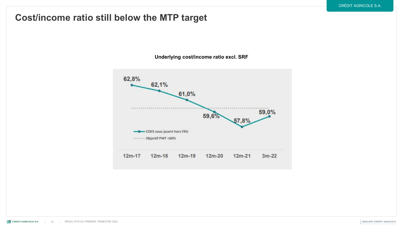## **Cost/income ratio still below the MTP target**

**Underlying cost/income ratio excl. SRF**

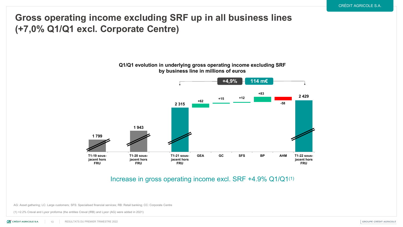## **Gross operating income excluding SRF up in all business lines (+7,0% Q1/Q1 excl. Corporate Centre)**

#### **Q1/Q1 evolution in underlying gross operating income excluding SRF by business line in millions of euros**



#### Increase in gross operating income excl. SRF +4.9% Q1/Q1(1)

AG: Asset gathering; LC: Large customers; SFS: Specialised financial services; RB: Retail banking; CC: Corporate Centre

(1) +2.2% Creval and Lyxor proforma (the entities Creval (IRB) and Lyxor (AG) were added in 2021)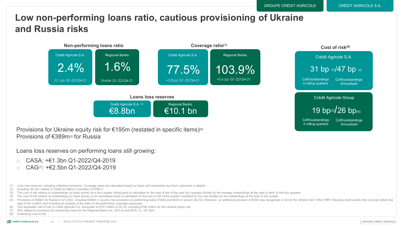## **Low non-performing loans ratio, cautious provisioning of Ukraine and Russia risks**



Provisions for Ukraine equity risk for €195m (restated in specific items)<sup>(6)</sup> Provisions of €389m(5) for Russia

Loans loss reserves on performing loans still growing:

- o CASA: +€1.3bn Q1-2022/Q4-2019
- $\circ$  CAG $\sigma$ : +€2.5bn Q1-2022/Q4-2019
- (1) Loan loss reserves, including collective provisions. Coverage ratios are calculated based on loans and receivables due from customers in default..
- (2) Including -€0.3bn related to Crédit du Maroc's transition to IFRS 5
- (3) The cost of risk relative to outstandings (in basis points) on a four quarter rolling basis is calculated on the cost of risk of the past four quarters divided by the average outstandings at the start of each of the fo
- (4) The cost of risk relative to outstandings (in basis points) on an annualised basis is calculated on the cost of risk of the quarter multiplied by four and divided by the outstandings at the start of the quarter
- (5) Provisions of €389m for Russia in Q1-2022, including €346m in country risk provisions on performing loans S1&S2 and €43m in proven risk S3. Moreover, an additional provision of €20m was recognised in S3 for the Ukrain start of the conflict, and including an analysis of the risks on the performing corporate exposures.
- The reportable cost of risk of Crédit Agricole S.A. amounted to €741 million in Q1-22, including €195 million for the Ukraine equity risk
- (7) 45% related to provisions for performing loans for the Regional Banks (vs. 35% at end-2019, i.e. +€1.2bn)

(8) Underlying cost of risk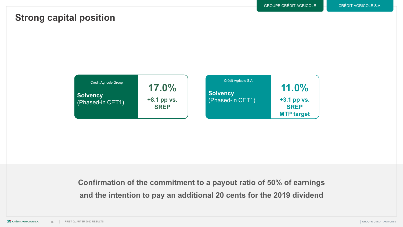## **Strong capital position**



**Confirmation of the commitment to a payout ratio of 50% of earnings and the intention to pay an additional 20 cents for the 2019 dividend**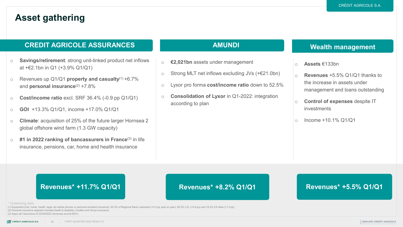## **Asset gathering**

#### **CREDIT AGRICOLE ASSURANCES AMUNDI**

- o **Savings/retirement**: strong unit-linked product net inflows at +€2.1bn in Q1 (+3.9% Q1/Q1)
- o Revenues up Q1/Q1 **property and casualty**(1) +6.7% and **personal insurance**<sup>(2)</sup> +7.8%
- o **Cost/income ratio** excl. SRF 36.4% (-0.9 pp Q1/Q1)
- o **GOI** +13.3% Q1/Q1, income +17.0% Q1/Q1
- o **Climate**: acquisition of 25% of the future larger Hornsea 2 global offshore wind farm (1.3 GW capacity)
- o **#1 in 2022 ranking of bancassurers in France**(3) in life insurance, pensions, car, home and health insurance

- o **€2,021bn** assets under management
- o Strong MLT net inflows excluding JVs (+€21.0bn)
- o Lyxor pro forma **cost/income ratio** down to 52.5%
- o **Consolidation of Lyxor** in Q1-2022: integration according to plan

### **Wealth management**

- o **Assets** €133bn
- o **Revenues** +5.5% Q1/Q1 thanks to the increase in assets under management and loans outstanding
- o **Control of expenses** despite IT investments
- o Income +10.1% Q1/Q1

### **Revenues\* +11.7% Q1/Q1**

#### **Revenues\* +8.2% Q1/Q1**

### **Revenues\* +5.5% Q1/Q1**

• \* Underlying data

• (1) Equipment (Car, home, health, legal, all mobile phones or personal accident insurance): 42.4% of Regional Bank customers (+0.3 pp year on year), 26.5% LCL (+0.6 pp) and 19.2% CA Italia (+1.5 pp)

• (2) Personal insurance segment includes Death & disability, Creditor and Group Insurance.

• (3) *Argus de l'assurance* of 22/04/2022 (revenues at end-2021)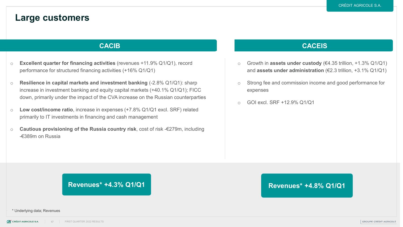## **Large customers**

#### **CACIB**

- o **Excellent quarter for financing activities** (revenues +11.9% Q1/Q1), record performance for structured financing activities (+16% Q1/Q1)
- o **Resilience in capital markets and investment banking** (-2.8% Q1/Q1): sharp increase in investment banking and equity capital markets (+40.1% Q1/Q1); FICC down, primarily under the impact of the CVA increase on the Russian counterparties
- o **Low cost/income ratio**, increase in expenses (+7.8% Q1/Q1 excl. SRF) related primarily to IT investments in financing and cash management
- o **Cautious provisioning of the Russia country risk**, cost of risk -€279m, including -€389m on Russia

#### **CACEIS**

- o Growth in **assets under custody** (€4.35 trillion, +1.3% Q1/Q1) and **assets under administration** (€2.3 trillion, +3.1% Q1/Q1)
- o Strong fee and commission income and good performance for expenses
- o GOI excl. SRF +12.9% Q1/Q1

#### **Revenues\* +4.3% Q1/Q1 Revenues\* +4.8% Q1/Q1**

• \* Underlying data; Revenues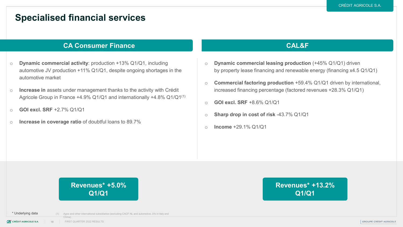## **Specialised financial services**

#### **CA Consumer Finance CAL&F**

- o **Dynamic commercial activity**: production +13% Q1/Q1, including automotive JV production +11% Q1/Q1, despite ongoing shortages in the automotive market
- o **Increase in** assets under management thanks to the activity with Crédit Agricole Group in France +4.9% Q1/Q1 and internationally +4.8% Q1/Q1(1)
- o **GOI excl. SRF** +2.7% Q1/Q1
- o **Increase in coverage ratio** of doubtful loans to 89.7%

- o **Dynamic commercial leasing production** (+45% Q1/Q1) driven by property lease financing and renewable energy (financing x4.5 Q1/Q1)
- o **Commercial factoring production** +59.4% Q1/Q1 driven by international, increased financing percentage (factored revenues +28.3% Q1/Q1)
- o **GOI excl. SRF** +8.6% Q1/Q1
- o **Sharp drop in cost of risk** -43.7% Q1/Q1
- o **Income** +29.1% Q1/Q1

## **Revenues\* +5.0% Q1/Q1**

**Revenues\* +13.2% Q1/Q1**

• \* Underlying data

China).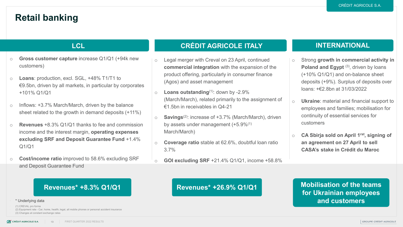## **Retail banking**

- o **Gross customer capture** increase Q1/Q1 (+94k new customers)
- o **Loans**: production, excl. SGL, +48% T1/T1 to €9.5bn, driven by all markets, in particular by corporates +101% Q1/Q1
- o Inflows: +3.7% March/March, driven by the balance sheet related to the growth in demand deposits (+11%)
- o **Revenues** +8.3% Q1/Q1 thanks to fee and commission income and the interest margin, **operating expenses excluding SRF and Deposit Guarantee Fund** +1.4%  $Q1/Q1$
- o **Cost/income ratio** improved to 58.6% excluding SRF and Deposit Guarantee Fund

### **LCL CRÉDIT AGRICOLE ITALY INTERNATIONAL**

- o Legal merger with Creval on 23 April, continued **commercial integration** with the expansion of the product offering, particularly in consumer finance (Agos) and asset management
- o **Loans outstanding**(1): down by -2.9% (March/March), related primarily to the assignment of €1.5bn in receivables in Q4-21
- o **Savings**(2): increase of +3.7% (March/March), driven by assets under management (+5.9%(1) March/March)
- o **Coverage ratio** stable at 62.6%, doubtful loan ratio 3.7%
- o **GOI excluding SRF** +21.4% Q1/Q1, income +58.8%

#### **Revenues\* +8.3% Q1/Q1 Revenues\* +26.9% Q1/Q1**

- o Strong **growth in commercial activity in Poland and Egypt** <sup>(3)</sup>, driven by loans (+10% Q1/Q1) and on-balance sheet deposits (+9%). Surplus of deposits over loans: +€2.8bn at 31/03/2022
- o **Ukraine**: material and financial support to employees and families; mobilisation for continuity of essential services for customers
- o **CA Sbirja sold on April 1rst, signing of an agreement on 27 April to sell CASA's stake in Crédit du Maroc**

### **Mobilisation of the teams for Ukrainian employees**  • \* Underlying data **and customers**

- (1) CREVAL pro forma
- (2) Equipment rate Car, home, health, legal, all mobile phones or personal accident insurance
- (3) Changes at constant exchange rates